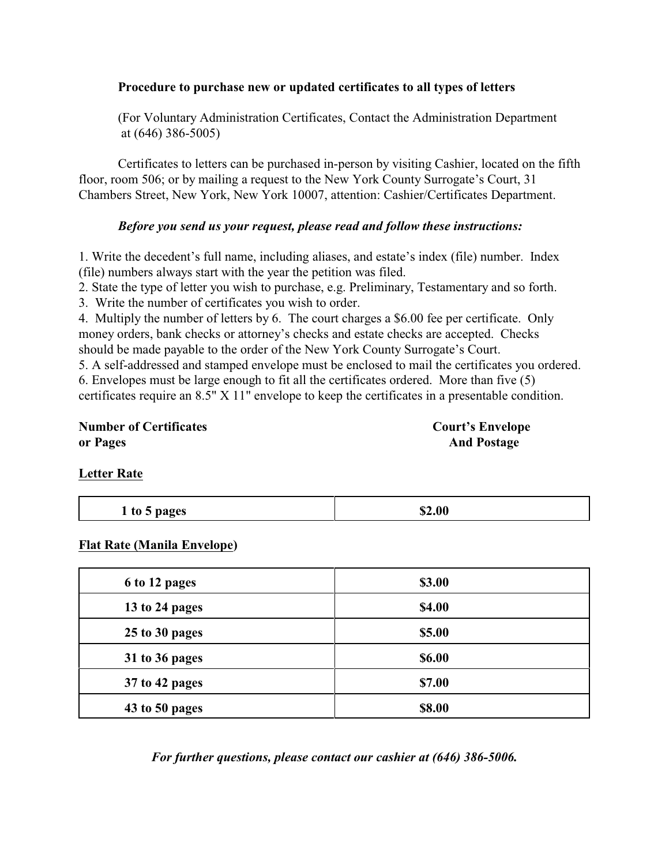#### **Procedure to purchase new or updated certificates to all types of letters**

(For Voluntary Administration Certificates, Contact the Administration Department at (646) 386-5005)

Certificates to letters can be purchased in-person by visiting Cashier, located on the fifth floor, room 506; or by mailing a request to the New York County Surrogate's Court, 31 Chambers Street, New York, New York 10007, attention: Cashier/Certificates Department.

### *Before you send us your request, please read and follow these instructions:*

1. Write the decedent's full name, including aliases, and estate's index (file) number. Index (file) numbers always start with the year the petition was filed.

2. State the type of letter you wish to purchase, e.g. Preliminary, Testamentary and so forth.

3. Write the number of certificates you wish to order.

4. Multiply the number of letters by 6. The court charges a \$6.00 fee per certificate. Only money orders, bank checks or attorney's checks and estate checks are accepted. Checks should be made payable to the order of the New York County Surrogate's Court.

5. A self-addressed and stamped envelope must be enclosed to mail the certificates you ordered. 6. Envelopes must be large enough to fit all the certificates ordered. More than five (5) certificates require an 8.5" X 11" envelope to keep the certificates in a presentable condition.

**Number of Certificates Court's Envelope or Pages** And Postage

#### **Letter Rate**

| 1 to 5 pages | \$2.00 |
|--------------|--------|
|              |        |

## **Flat Rate (Manila Envelope)**

| 6 to 12 pages  | \$3.00 |
|----------------|--------|
| 13 to 24 pages | \$4.00 |
| 25 to 30 pages | \$5.00 |
| 31 to 36 pages | \$6.00 |
| 37 to 42 pages | \$7.00 |
| 43 to 50 pages | \$8.00 |

*For further questions, please contact our cashier at (646) 386-5006.*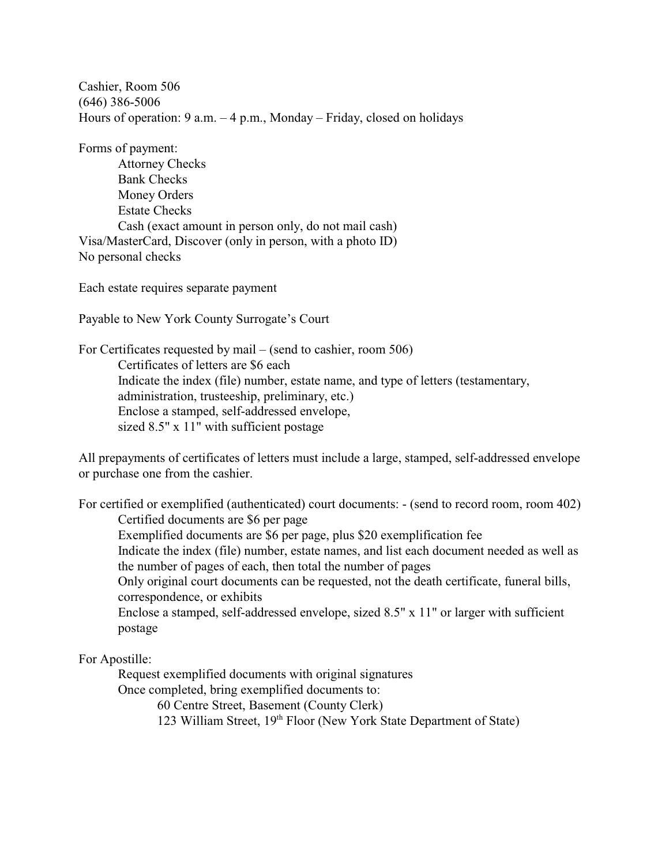Cashier, Room 506 (646) 386-5006 Hours of operation: 9 a.m. – 4 p.m., Monday – Friday, closed on holidays

Forms of payment:

Attorney Checks Bank Checks Money Orders Estate Checks Cash (exact amount in person only, do not mail cash) Visa/MasterCard, Discover (only in person, with a photo ID) No personal checks

Each estate requires separate payment

Payable to New York County Surrogate's Court

For Certificates requested by mail – (send to cashier, room 506) Certificates of letters are \$6 each Indicate the index (file) number, estate name, and type of letters (testamentary, administration, trusteeship, preliminary, etc.) Enclose a stamped, self-addressed envelope, sized 8.5" x 11" with sufficient postage

All prepayments of certificates of letters must include a large, stamped, self-addressed envelope or purchase one from the cashier.

For certified or exemplified (authenticated) court documents: - (send to record room, room 402) Certified documents are \$6 per page Exemplified documents are \$6 per page, plus \$20 exemplification fee Indicate the index (file) number, estate names, and list each document needed as well as the number of pages of each, then total the number of pages Only original court documents can be requested, not the death certificate, funeral bills, correspondence, or exhibits Enclose a stamped, self-addressed envelope, sized 8.5" x 11" or larger with sufficient postage

#### For Apostille:

Request exemplified documents with original signatures

Once completed, bring exemplified documents to:

60 Centre Street, Basement (County Clerk)

123 William Street, 19<sup>th</sup> Floor (New York State Department of State)